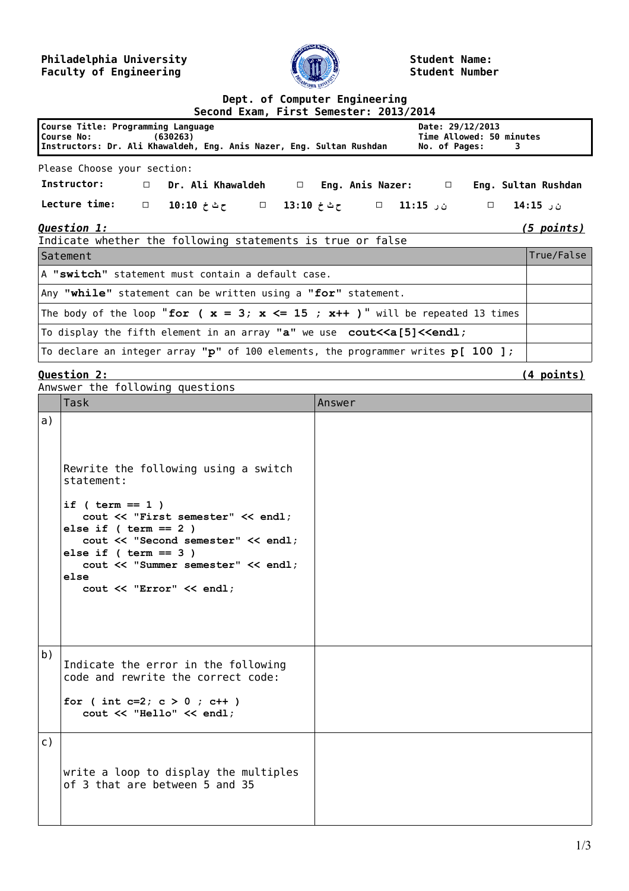## **Philadelphia University Faculty of Engineering**



**Student Name: Student Number**

## **Dept. of Computer Engineering**

|                                                                                                                                                   |  |  | Second Exam, First Semester: 2013/2014 |  |  |  |  |                                              |  |                                                              |
|---------------------------------------------------------------------------------------------------------------------------------------------------|--|--|----------------------------------------|--|--|--|--|----------------------------------------------|--|--------------------------------------------------------------|
| Course Title: Programming Language<br>Course No: (630263)<br>Instructors: Dr. Ali Khawaldeh, Eng. Anis Nazer, Eng. Sultan Rushdan No. of Pages: 3 |  |  |                                        |  |  |  |  | Date: 29/12/2013<br>Time Allowed: 50 minutes |  |                                                              |
| Please Choose your section:                                                                                                                       |  |  |                                        |  |  |  |  |                                              |  |                                                              |
| <b>Instructor:</b>                                                                                                                                |  |  |                                        |  |  |  |  |                                              |  | □ Dr. Ali Khawaldeh □ Eng. Anis Nazer: □ Eng. Sultan Rushdan |
| □ ن ر 11:15 □ ع ث خ 13:10 □ ع ث خ 13:10 □ Ecture time: □ 10:10                                                                                    |  |  |                                        |  |  |  |  |                                              |  | ن ر 15:15                                                    |
| <b>Question 1:</b>                                                                                                                                |  |  |                                        |  |  |  |  |                                              |  | <u>(5 points)</u>                                            |
| Indicate whether the following statements is true or false                                                                                        |  |  |                                        |  |  |  |  |                                              |  |                                                              |
| Satement                                                                                                                                          |  |  |                                        |  |  |  |  |                                              |  | True/False                                                   |
| A "switch" statement must contain a default case.                                                                                                 |  |  |                                        |  |  |  |  |                                              |  |                                                              |
| Any "while" statement can be written using a "for" statement.                                                                                     |  |  |                                        |  |  |  |  |                                              |  |                                                              |
| The body of the loop "for ( $x = 3$ ; $x \le -15$ ; $x++$ )" will be repeated 13 times                                                            |  |  |                                        |  |  |  |  |                                              |  |                                                              |
| To display the fifth element in an array "a" we use cout< <a[5]<<endl;< td=""><td></td></a[5]<<endl;<>                                            |  |  |                                        |  |  |  |  |                                              |  |                                                              |
| To declare an integer array " $p$ " of 100 elements, the programmer writes $p[100]$ ;                                                             |  |  |                                        |  |  |  |  |                                              |  |                                                              |

**Question 2: (4 points)**

| Anwswer the following questions |                                                                                                                                                                                                                                                                                           |        |  |  |  |  |  |  |
|---------------------------------|-------------------------------------------------------------------------------------------------------------------------------------------------------------------------------------------------------------------------------------------------------------------------------------------|--------|--|--|--|--|--|--|
|                                 | Task                                                                                                                                                                                                                                                                                      | Answer |  |  |  |  |  |  |
| a)                              | Rewrite the following using a switch<br>statement:<br>if $($ term == 1 $)$<br>cout << "First semester" << endl;<br>else if $($ term == 2 $)$<br>cout << "Second semester" << endl;<br>else if $($ term == 3 $)$<br>cout << "Summer semester" << endl;<br>else<br>cout << "Error" << endl; |        |  |  |  |  |  |  |
| b)                              | Indicate the error in the following<br>code and rewrite the correct code:<br>for ( int $c=2$ ; $c > 0$ ; $c++$ )<br>cout << "Hello" << endl;                                                                                                                                              |        |  |  |  |  |  |  |
| $\mathsf{C}$ )                  | write a loop to display the multiples<br>of 3 that are between 5 and 35                                                                                                                                                                                                                   |        |  |  |  |  |  |  |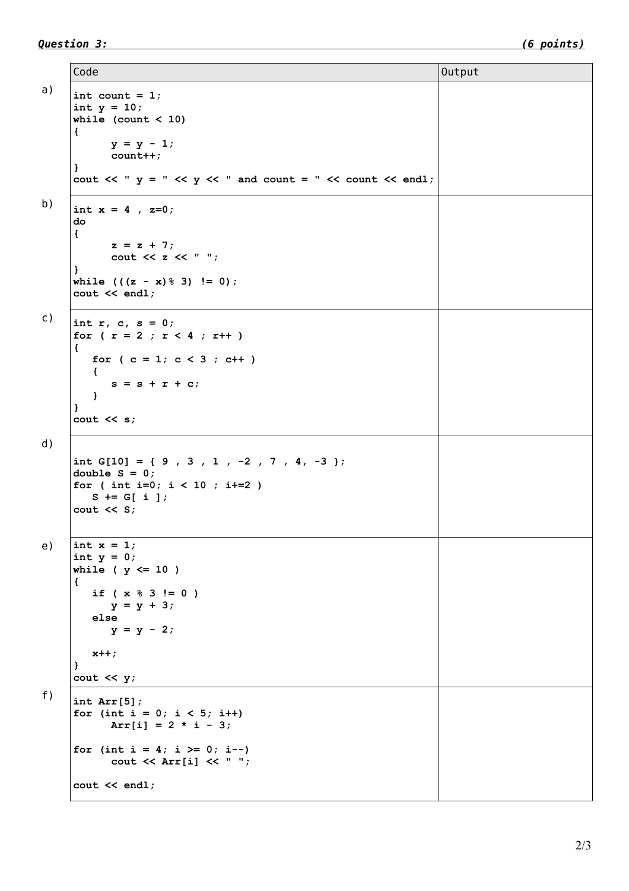```
Code Output
a) \int int count = 1;
     int y = 10;
     while (count < 10)
     {
           y = y - 1;
           count++;
     }
     cout \ll " y = " \ll y \ll " and count = " \ll count \ll endl;
b) \int \int \text{int } x = 4, z=0;
     do
     {
           z = z + 7;
           cout << z << " ";
     }
     while (((z - x) \, 8 \, 3) \, != \, 0);cout << endl;
c) \int \frac{1}{\pi} \pi r, c, s = 0;for ( r = 2 ; r < 4 ; r^{++} )
     {
        for (c = 1; c < 3; c++) {
           s = s + r + c;
         }
     }
     cout << s;
d)
     int G[10] = { 9 , 3 , 1 , -2 , 7 , 4, -3 };
     double S = 0;
     for ( int i=0; i < 10 ; i+=2 )
        S += G[ i ];
     cout << S;
e) \vert \text{int } x = 1;int y = 0;
     while ( y <= 10 )
     {
         if ( x % 3 != 0 )
           y = y + 3;
         else
            y = y - 2;
         x++;
     }
     cout << y;
f) \vert int Arr[5];
     for (int i = 0; i < 5; i++)
           Arr[i] = 2 * i - 3;for (int i = 4; i \ge 0; i--)
           cout << Arr[i] << " ";
     cout << endl;
```